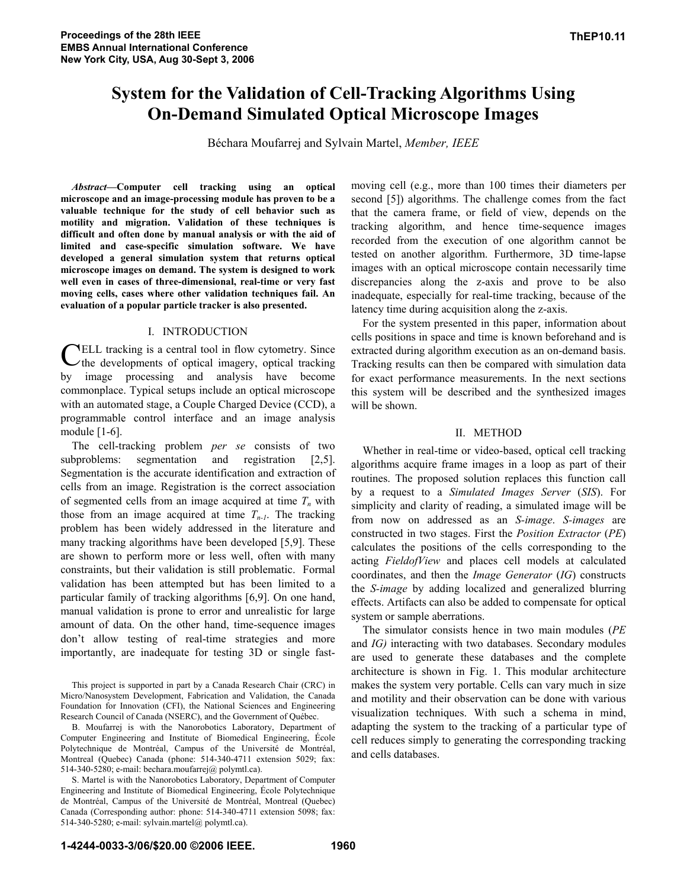# **System for the Validation of Cell-Tracking Algorithms Using On-Demand Simulated Optical Microscope Images**

Béchara Moufarrej and Sylvain Martel, *Member, IEEE*

*Abstract***—Computer cell tracking using an optical microscope and an image-processing module has proven to be a valuable technique for the study of cell behavior such as motility and migration. Validation of these techniques is difficult and often done by manual analysis or with the aid of limited and case-specific simulation software. We have developed a general simulation system that returns optical microscope images on demand. The system is designed to work well even in cases of three-dimensional, real-time or very fast moving cells, cases where other validation techniques fail. An evaluation of a popular particle tracker is also presented.** 

### I. INTRODUCTION

CELL tracking is a central tool in flow cytometry. Since the developments of optical imagery, optical tracking the developments of optical imagery, optical tracking by image processing and analysis have become commonplace. Typical setups include an optical microscope with an automated stage, a Couple Charged Device (CCD), a programmable control interface and an image analysis module [1-6].

The cell-tracking problem *per se* consists of two subproblems: segmentation and registration [2,5]. Segmentation is the accurate identification and extraction of cells from an image. Registration is the correct association of segmented cells from an image acquired at time  $T_n$  with those from an image acquired at time  $T_{n-1}$ . The tracking problem has been widely addressed in the literature and many tracking algorithms have been developed [5,9]. These are shown to perform more or less well, often with many constraints, but their validation is still problematic. Formal validation has been attempted but has been limited to a particular family of tracking algorithms [6,9]. On one hand, manual validation is prone to error and unrealistic for large amount of data. On the other hand, time-sequence images don't allow testing of real-time strategies and more importantly, are inadequate for testing 3D or single fast-

This project is supported in part by a Canada Research Chair (CRC) in Micro/Nanosystem Development, Fabrication and Validation, the Canada Foundation for Innovation (CFI), the National Sciences and Engineering Research Council of Canada (NSERC), and the Government of Québec.

moving cell (e.g., more than 100 times their diameters per second [5]) algorithms. The challenge comes from the fact that the camera frame, or field of view, depends on the tracking algorithm, and hence time-sequence images recorded from the execution of one algorithm cannot be tested on another algorithm. Furthermore, 3D time-lapse images with an optical microscope contain necessarily time discrepancies along the z-axis and prove to be also inadequate, especially for real-time tracking, because of the latency time during acquisition along the z-axis.

For the system presented in this paper, information about cells positions in space and time is known beforehand and is extracted during algorithm execution as an on-demand basis. Tracking results can then be compared with simulation data for exact performance measurements. In the next sections this system will be described and the synthesized images will be shown.

## II. METHOD

Whether in real-time or video-based, optical cell tracking algorithms acquire frame images in a loop as part of their routines. The proposed solution replaces this function call by a request to a *Simulated Images Server* (*SIS*). For simplicity and clarity of reading, a simulated image will be from now on addressed as an *S-image*. *S-images* are constructed in two stages. First the *Position Extractor* (*PE*) calculates the positions of the cells corresponding to the acting *FieldofView* and places cell models at calculated coordinates, and then the *Image Generator* (*IG*) constructs the *S-image* by adding localized and generalized blurring effects. Artifacts can also be added to compensate for optical system or sample aberrations.

The simulator consists hence in two main modules (*PE* and *IG)* interacting with two databases. Secondary modules are used to generate these databases and the complete architecture is shown in Fig. 1. This modular architecture makes the system very portable. Cells can vary much in size and motility and their observation can be done with various visualization techniques. With such a schema in mind, adapting the system to the tracking of a particular type of cell reduces simply to generating the corresponding tracking and cells databases.

B. Moufarrej is with the Nanorobotics Laboratory, Department of Computer Engineering and Institute of Biomedical Engineering, École Polytechnique de Montréal, Campus of the Université de Montréal, Montreal (Quebec) Canada (phone: 514-340-4711 extension 5029; fax: 514-340-5280; e-mail: bechara.moufarrej@ polymtl.ca).

S. Martel is with the Nanorobotics Laboratory, Department of Computer Engineering and Institute of Biomedical Engineering, École Polytechnique de Montréal, Campus of the Université de Montréal, Montreal (Quebec) Canada (Corresponding author: phone: 514-340-4711 extension 5098; fax: 514-340-5280; e-mail: sylvain.martel@ polymtl.ca).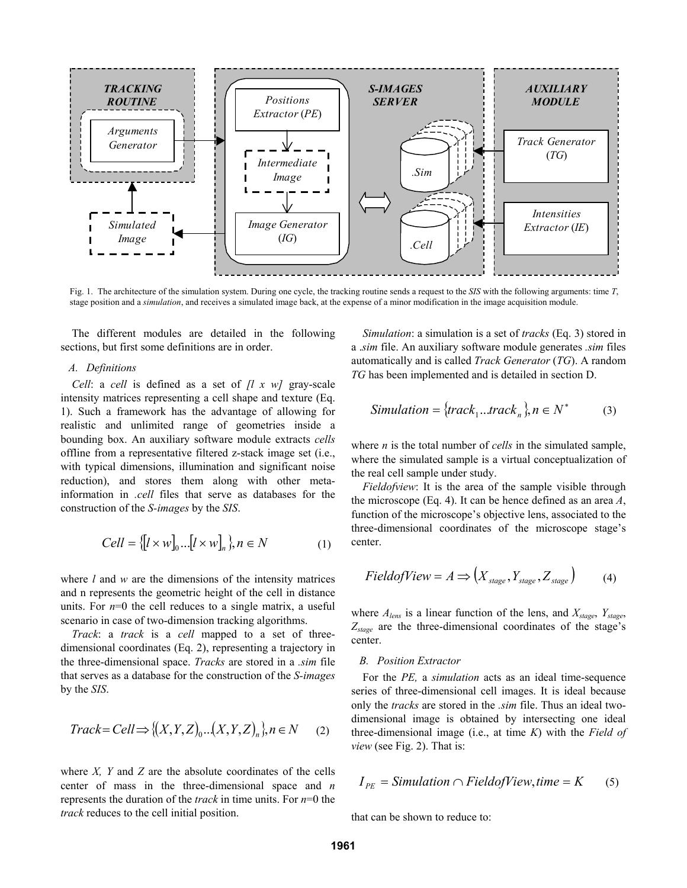

Fig. 1. The architecture of the simulation system. During one cycle, the tracking routine sends a request to the *SIS* with the following arguments: time *T*, stage position and a *simulation*, and receives a simulated image back, at the expense of a minor modification in the image acquisition module.

The different modules are detailed in the following sections, but first some definitions are in order.

### *A. Definitions*

*Cell*: a *cell* is defined as a set of *[l x w]* gray-scale intensity matrices representing a cell shape and texture (Eq. 1). Such a framework has the advantage of allowing for realistic and unlimited range of geometries inside a bounding box. An auxiliary software module extracts *cells* offline from a representative filtered z-stack image set (i.e., with typical dimensions, illumination and significant noise reduction), and stores them along with other metainformation in *.cell* files that serve as databases for the construction of the *S-images* by the *SIS*.

$$
Cell = \{ [l \times w]_0 \dots [l \times w]_n \}, n \in N \tag{1}
$$

where *l* and *w* are the dimensions of the intensity matrices and n represents the geometric height of the cell in distance units. For  $n=0$  the cell reduces to a single matrix, a useful scenario in case of two-dimension tracking algorithms.

*Track*: a *track* is a *cell* mapped to a set of threedimensional coordinates (Eq. 2), representing a trajectory in the three-dimensional space. *Tracks* are stored in a *.sim* file that serves as a database for the construction of the *S-images* by the *SIS*.

$$
Track=Cell \Rightarrow \{(X,Y,Z)_0...(X,Y,Z)_n\}, n \in N \qquad (2)
$$

where *X, Y* and *Z* are the absolute coordinates of the cells center of mass in the three-dimensional space and *n* represents the duration of the *track* in time units. For *n*=0 the *track* reduces to the cell initial position.

*Simulation*: a simulation is a set of *tracks* (Eq. 3) stored in a .*sim* file. An auxiliary software module generates *.sim* files automatically and is called *Track Generator* (*TG*). A random *TG* has been implemented and is detailed in section D.

$$
Simulation = \{track_1...track_n\}, n \in N^* \tag{3}
$$

where *n* is the total number of *cells* in the simulated sample, where the simulated sample is a virtual conceptualization of the real cell sample under study.

*Fieldofview*: It is the area of the sample visible through the microscope (Eq. 4). It can be hence defined as an area *A*, function of the microscope's objective lens, associated to the three-dimensional coordinates of the microscope stage's center.

$$
Field of View = A \Rightarrow \left(X_{stage}, Y_{stage}, Z_{stage}\right) \tag{4}
$$

where  $A_{lens}$  is a linear function of the lens, and  $X_{stage}$ ,  $Y_{stage}$ Z<sub>stage</sub> are the three-dimensional coordinates of the stage's center.

#### *B. Position Extractor*

For the *PE,* a *simulation* acts as an ideal time-sequence series of three-dimensional cell images. It is ideal because only the *tracks* are stored in the *.sim* file. Thus an ideal twodimensional image is obtained by intersecting one ideal three-dimensional image (i.e., at time *K*) with the *Field of view* (see Fig. 2). That is:

$$
I_{PE} = Simulation \cap Field of View, time = K
$$
 (5)

that can be shown to reduce to: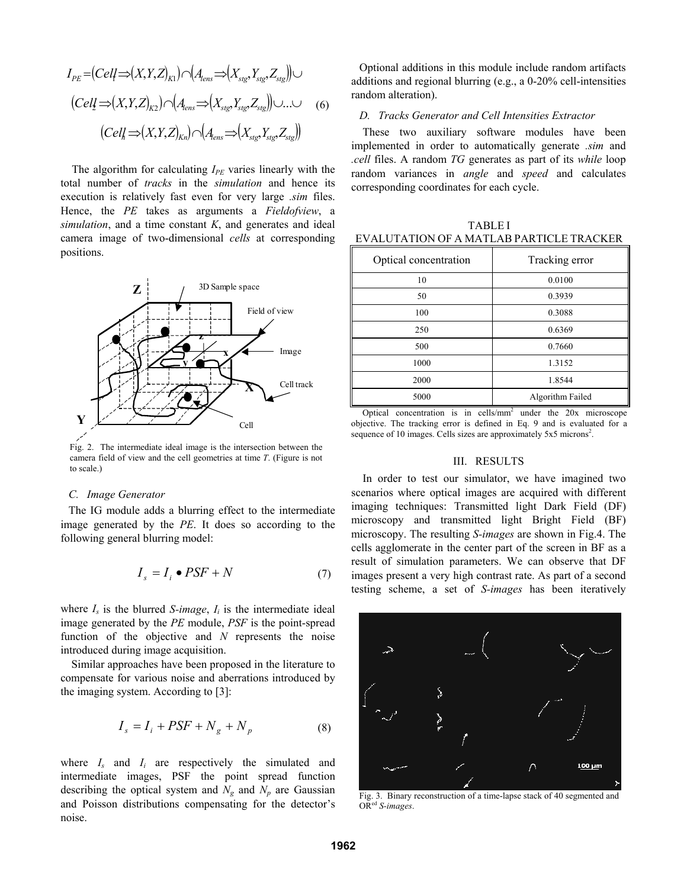$$
I_{PE} = (Cell \implies (X, Y, Z)_{K1}) \cap (A_{lens} \implies (X_{sig}, Y_{sig}, Z_{sig})) \cup
$$
  

$$
(Cell \implies (X, Y, Z)_{K2}) \cap (A_{lens} \implies (X_{sig}, Y_{sig}, Z_{sig})) \cup ... \cup
$$
  

$$
(Cell \implies (X, Y, Z)_{Kn}) \cap (A_{lens} \implies (X_{sig}, Y_{sig}, Z_{sig}))
$$
  

$$
(Cell \implies (X, Y, Z)_{Kn}) \cap (A_{lens} \implies (X_{sig}, Y_{sig}, Z_{sig}))
$$

The algorithm for calculating *I<sub>PE</sub>* varies linearly with the total number of *tracks* in the *simulation* and hence its execution is relatively fast even for very large *.sim* files. Hence, the *PE* takes as arguments a *Fieldofview*, a *simulation*, and a time constant *K*, and generates and ideal camera image of two-dimensional *cells* at corresponding positions.



Fig. 2. The intermediate ideal image is the intersection between the camera field of view and the cell geometries at time *T*. (Figure is not to scale.)

#### *C. Image Generator*

The IG module adds a blurring effect to the intermediate image generated by the *PE*. It does so according to the following general blurring model:

$$
I_s = I_i \bullet PSF + N \tag{7}
$$

where  $I_s$  is the blurred *S-image*,  $I_i$  is the intermediate ideal image generated by the *PE* module, *PSF* is the point-spread function of the objective and *N* represents the noise introduced during image acquisition.

 Similar approaches have been proposed in the literature to compensate for various noise and aberrations introduced by the imaging system. According to [3]:

$$
I_s = I_i + PSF + N_g + N_p \tag{8}
$$

where  $I_s$  and  $I_i$  are respectively the simulated and intermediate images, PSF the point spread function describing the optical system and  $N_g$  and  $N_p$  are Gaussian and Poisson distributions compensating for the detector's noise.

Optional additions in this module include random artifacts additions and regional blurring (e.g., a 0-20% cell-intensities random alteration).

#### *D. Tracks Generator and Cell Intensities Extractor*

These two auxiliary software modules have been implemented in order to automatically generate *.sim* and *.cell* files. A random *TG* generates as part of its *while* loop random variances in *angle* and *speed* and calculates corresponding coordinates for each cycle.

| <b>TABLEI</b>                            |
|------------------------------------------|
| EVALUTATION OF A MATLAB PARTICLE TRACKER |

| Optical concentration | Tracking error   |
|-----------------------|------------------|
| 10                    | 0.0100           |
| 50                    | 0.3939           |
| 100                   | 0.3088           |
| 250                   | 0.6369           |
| 500                   | 0.7660           |
| 1000                  | 1.3152           |
| 2000                  | 1.8544           |
| 5000                  | Algorithm Failed |

Optical concentration is in cells/mm2 under the 20x microscope objective. The tracking error is defined in Eq. 9 and is evaluated for a Cell complective. The tracking error is defined in Eq. 9 and is evalua<br>sequence of 10 images. Cells sizes are approximately 5x5 microns<sup>2</sup>.

#### III. RESULTS

In order to test our simulator, we have imagined two scenarios where optical images are acquired with different imaging techniques: Transmitted light Dark Field (DF) microscopy and transmitted light Bright Field (BF) microscopy. The resulting *S-images* are shown in Fig.4. The cells agglomerate in the center part of the screen in BF as a result of simulation parameters. We can observe that DF images present a very high contrast rate. As part of a second testing scheme, a set of *S-images* has been iteratively



Fig. 3. Binary reconstruction of a time-lapse stack of 40 segmented and ORed *S-images*.